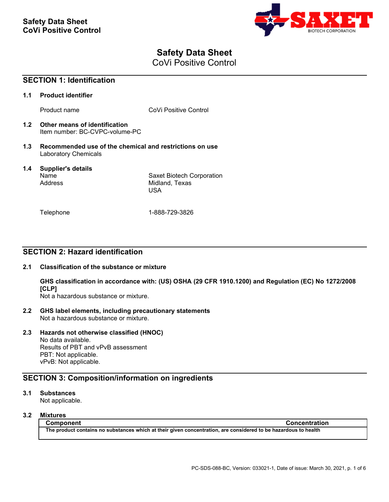

# **Safety Data Sheet**

CoVi Positive Control

| <b>SECTION 1: Identification</b> |                                                                                        |                                                    |
|----------------------------------|----------------------------------------------------------------------------------------|----------------------------------------------------|
| 1.1                              | <b>Product identifier</b>                                                              |                                                    |
|                                  | Product name                                                                           | CoVi Positive Control                              |
| 1.2                              | Other means of identification<br>Item number: BC-CVPC-volume-PC                        |                                                    |
| 1.3                              | Recommended use of the chemical and restrictions on use<br><b>Laboratory Chemicals</b> |                                                    |
| $1.4^{\circ}$                    | Supplier's details<br>Name<br>Address                                                  | Saxet Biotech Corporation<br>Midland, Texas<br>USA |
|                                  | Telephone                                                                              | 1-888-729-3826                                     |

# **SECTION 2: Hazard identification**

## **2.1 Classification of the substance or mixture**

**GHS classification in accordance with: (US) OSHA (29 CFR 1910.1200) and Regulation (EC) No 1272/2008 [CLP]**

Not a hazardous substance or mixture.

**2.2 GHS label elements, including precautionary statements** Not a hazardous substance or mixture.

# **2.3 Hazards not otherwise classified (HNOC)**

No data available. Results of PBT and vPvB assessment PBT: Not applicable. vPvB: Not applicable.

# **SECTION 3: Composition/information on ingredients**

# **3.1 Substances**

Not applicable.

# **3.2 Mixtures**

**Component Concentration The product contains no substances which at their given concentration, are considered to be hazardous to health**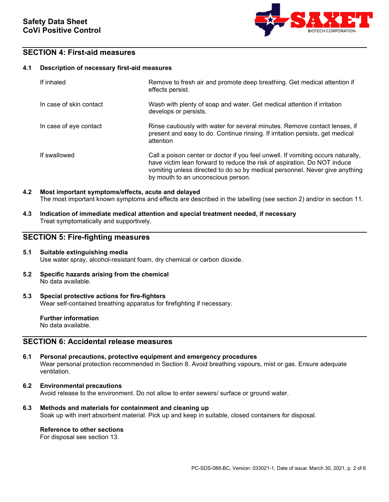

# **SECTION 4: First-aid measures**

### **4.1 Description of necessary first-aid measures**

| If inhaled              | Remove to fresh air and promote deep breathing. Get medical attention if<br>effects persist.                                                                                                                                                                                      |
|-------------------------|-----------------------------------------------------------------------------------------------------------------------------------------------------------------------------------------------------------------------------------------------------------------------------------|
| In case of skin contact | Wash with plenty of soap and water. Get medical attention if irritation<br>develops or persists.                                                                                                                                                                                  |
| In case of eye contact  | Rinse cautiously with water for several minutes. Remove contact lenses, if<br>present and easy to do. Continue rinsing. If irritation persists, get medical<br>attention                                                                                                          |
| If swallowed            | Call a poison center or doctor if you feel unwell. If vomiting occurs naturally,<br>have victim lean forward to reduce the risk of aspiration. Do NOT induce<br>vomiting unless directed to do so by medical personnel. Never give anything<br>by mouth to an unconscious person. |

# **4.2 Most important symptoms/effects, acute and delayed** The most important known symptoms and effects are described in the labelling (see section 2) and/or in section 11.

**4.3 Indication of immediate medical attention and special treatment needed, if necessary** Treat symptomatically and supportively.

# **SECTION 5: Fire-fighting measures**

### **5.1 Suitable extinguishing media** Use water spray, alcohol-resistant foam, dry chemical or carbon dioxide.

**5.2 Specific hazards arising from the chemical** No data available.

#### **5.3 Special protective actions for fire-fighters** Wear self-contained breathing apparatus for firefighting if necessary.

**Further information** No data available.

# **SECTION 6: Accidental release measures**

- **6.1 Personal precautions, protective equipment and emergency procedures** Wear personal protection recommended in Section 8. Avoid breathing vapours, mist or gas. Ensure adequate ventilation.
- **6.2 Environmental precautions** Avoid release to the environment. Do not allow to enter sewers/ surface or ground water.
- **6.3 Methods and materials for containment and cleaning up** Soak up with inert absorbent material. Pick up and keep in suitable, closed containers for disposal.

## **Reference to other sections**

For disposal see section 13.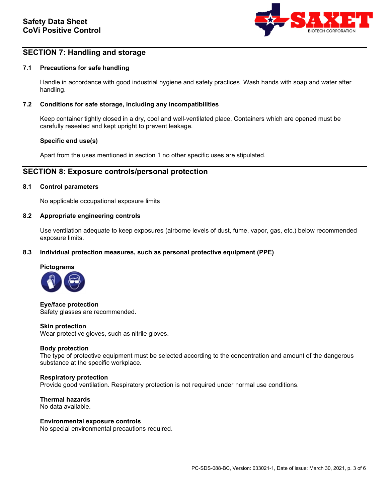

# **SECTION 7: Handling and storage**

### **7.1 Precautions for safe handling**

Handle in accordance with good industrial hygiene and safety practices. Wash hands with soap and water after handling.

### **7.2 Conditions for safe storage, including any incompatibilities**

Keep container tightly closed in a dry, cool and well-ventilated place. Containers which are opened must be carefully resealed and kept upright to prevent leakage.

### **Specific end use(s)**

Apart from the uses mentioned in section 1 no other specific uses are stipulated.

# **SECTION 8: Exposure controls/personal protection**

### **8.1 Control parameters**

No applicable occupational exposure limits

#### **8.2 Appropriate engineering controls**

Use ventilation adequate to keep exposures (airborne levels of dust, fume, vapor, gas, etc.) below recommended exposure limits.

### **8.3 Individual protection measures, such as personal protective equipment (PPE)**



**Eye/face protection** Safety glasses are recommended.

#### **Skin protection**

Wear protective gloves, such as nitrile gloves.

### **Body protection**

The type of protective equipment must be selected according to the concentration and amount of the dangerous substance at the specific workplace.

#### **Respiratory protection**

Provide good ventilation. Respiratory protection is not required under normal use conditions.

**Thermal hazards** No data available.

### **Environmental exposure controls**

No special environmental precautions required.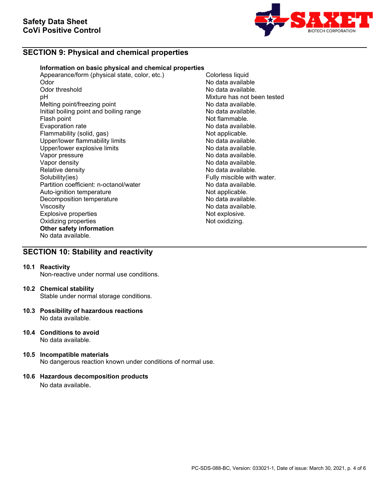

# **SECTION 9: Physical and chemical properties**

### **Information on basic physical and chemical properties**

Appearance/form (physical state, color, etc.) Colorless liquid<br>Odor Mo data availab Odor No data available Odor threshold **No data available.**<br>
DH No data available.<br>
Nixture has not be Melting point/freezing point<br>
Initial boiling point and boiling range<br>
No data available. Initial boiling point and boiling range<br>Flash point Evaporation rate<br>
Flammability (solid, gas) Not applicable. Flammability (solid, gas) Not applicable.<br>
Upper/lower flammability limits No data available. Upper/lower flammability limits and the second of the No data available.<br>
Upper/lower explosive limits and the No data available. Upper/lower explosive limits<br>Vapor pressure Vapor pressure<br>Vapor density de la communitative de la communitative de la construction de la communitative de la communitati<br>No data available. Vapor density<br>
Relative density<br>
Relative density<br>
No data available. Relative density<br>
Solubility(ies)<br>
Solubility(ies)<br>
Solubility(ies) Partition coefficient: n-octanol/water **No data available.**<br>Auto-ignition temperature **Note and Auto-ignition** Auto-ignition temperature and the Not applicable.<br>
Decomposition temperature Not applicable. Decomposition temperature Viscosity<br>
Explosive properties<br>
Explosive explosive explosive explosive explosive explosive explosive explosive explosive explosive explosive explosive explosive explosive explosive explosive explosive explosive explosive Explosive properties and the explosive properties of the explosive.<br>
Oxidizing properties and the explosive of the explosive. Oxidizing properties **Other safety information** No data available.

Mixture has not been tested<br>No data available. Not flammable.<br>No data available. Fully miscible with water.

# **SECTION 10: Stability and reactivity**

#### **10.1 Reactivity**

Non-reactive under normal use conditions.

#### **10.2 Chemical stability**

Stable under normal storage conditions.

- **10.3 Possibility of hazardous reactions** No data available.
- **10.4 Conditions to avoid** No data available.
- **10.5 Incompatible materials** No dangerous reaction known under conditions of normal use.

### **10.6 Hazardous decomposition products**

No data available.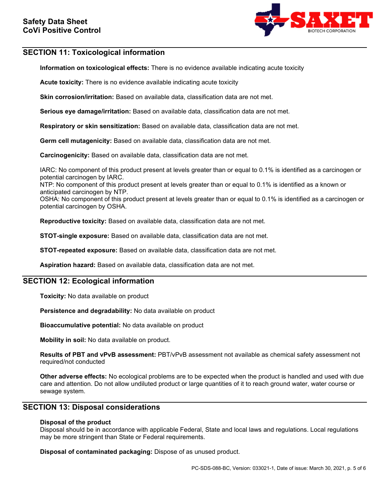

# **SECTION 11: Toxicological information**

**Information on toxicological effects:** There is no evidence available indicating acute toxicity

**Acute toxicity:** There is no evidence available indicating acute toxicity

**Skin corrosion/irritation:** Based on available data, classification data are not met.

**Serious eye damage/irritation:** Based on available data, classification data are not met.

**Respiratory or skin sensitization:** Based on available data, classification data are not met.

**Germ cell mutagenicity:** Based on available data, classification data are not met.

**Carcinogenicity:** Based on available data, classification data are not met.

IARC: No component of this product present at levels greater than or equal to 0.1% is identified as a carcinogen or potential carcinogen by IARC.

NTP: No component of this product present at levels greater than or equal to 0.1% is identified as a known or anticipated carcinogen by NTP.

OSHA: No component of this product present at levels greater than or equal to 0.1% is identified as a carcinogen or potential carcinogen by OSHA.

**Reproductive toxicity:** Based on available data, classification data are not met.

**STOT-single exposure:** Based on available data, classification data are not met.

**STOT-repeated exposure:** Based on available data, classification data are not met.

**Aspiration hazard:** Based on available data, classification data are not met.

# **SECTION 12: Ecological information**

**Toxicity:** No data available on product

**Persistence and degradability:** No data available on product

**Bioaccumulative potential:** No data available on product

**Mobility in soil:** No data available on product.

**Results of PBT and vPvB assessment:** PBT/vPvB assessment not available as chemical safety assessment not required/not conducted

**Other adverse effects:** No ecological problems are to be expected when the product is handled and used with due care and attention. Do not allow undiluted product or large quantities of it to reach ground water, water course or sewage system.

# **SECTION 13: Disposal considerations**

### **Disposal of the product**

Disposal should be in accordance with applicable Federal, State and local laws and regulations. Local regulations may be more stringent than State or Federal requirements.

**Disposal of contaminated packaging:** Dispose of as unused product.